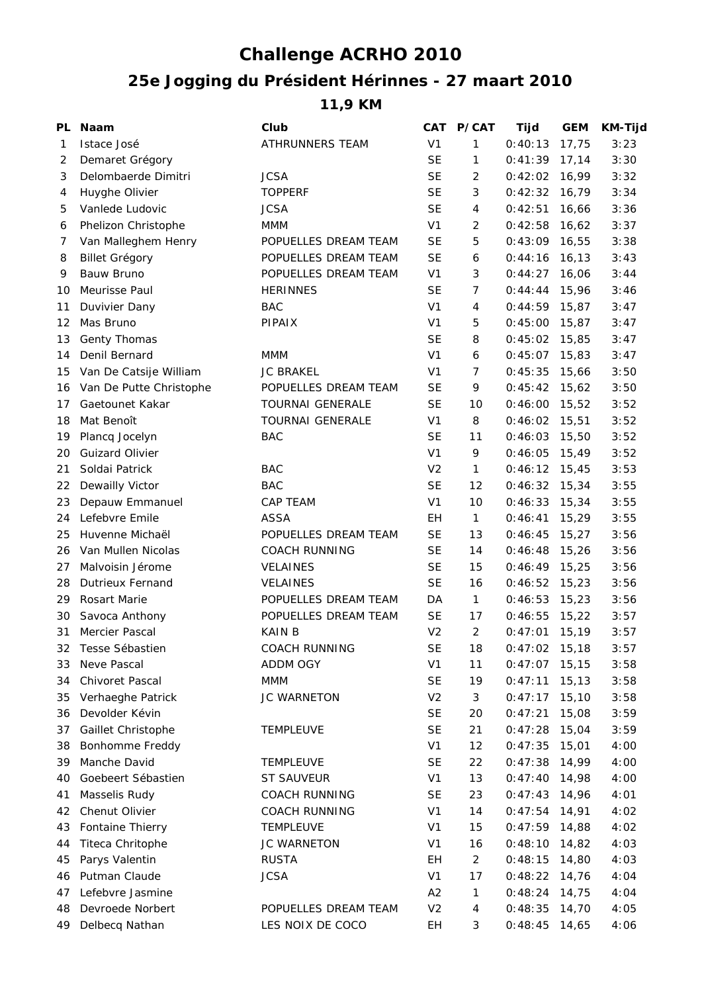## **Challenge ACRHO 2010**

## **25e Jogging du Président Hérinnes - 27 maart 2010**

**11,9 KM**

| PL | <b>Naam</b>             | Club                    | CAT            | <b>P/CAT</b>   | Tijd            | <b>GEM</b> | <b>KM-Tijd</b> |
|----|-------------------------|-------------------------|----------------|----------------|-----------------|------------|----------------|
| 1  | Istace José             | ATHRUNNERS TEAM         | V <sub>1</sub> | 1              | 0:40:13         | 17,75      | 3:23           |
| 2  | Demaret Grégory         |                         | <b>SE</b>      | 1              | 0:41:39         | 17,14      | 3:30           |
| 3  | Delombaerde Dimitri     | <b>JCSA</b>             | <b>SE</b>      | $\overline{2}$ | $0:42:02$ 16,99 |            | 3:32           |
| 4  | Huyghe Olivier          | <b>TOPPERF</b>          | <b>SE</b>      | 3              | 0:42:32         | 16,79      | 3:34           |
| 5  | Vanlede Ludovic         | <b>JCSA</b>             | <b>SE</b>      | 4              | 0:42:51         | 16,66      | 3:36           |
| 6  | Phelizon Christophe     | <b>MMM</b>              | V <sub>1</sub> | 2              | 0:42:58         | 16,62      | 3:37           |
| 7  | Van Malleghem Henry     | POPUELLES DREAM TEAM    | <b>SE</b>      | 5              | $0:43:09$ 16,55 |            | 3:38           |
| 8  | <b>Billet Grégory</b>   | POPUELLES DREAM TEAM    | <b>SE</b>      | 6              | 0:44:16         | 16, 13     | 3:43           |
| 9  | <b>Bauw Bruno</b>       | POPUELLES DREAM TEAM    | V <sub>1</sub> | 3              | 0:44:27         | 16,06      | 3:44           |
| 10 | Meurisse Paul           | <b>HERINNES</b>         | <b>SE</b>      | $\overline{7}$ | $0:44:44$ 15,96 |            | 3:46           |
| 11 | Duvivier Dany           | <b>BAC</b>              | V <sub>1</sub> | 4              | $0:44:59$ 15,87 |            | 3:47           |
| 12 | Mas Bruno               | <b>PIPAIX</b>           | V <sub>1</sub> | 5              | 0:45:00         | 15,87      | 3:47           |
| 13 | Genty Thomas            |                         | <b>SE</b>      | 8              | $0:45:02$ 15,85 |            | 3:47           |
| 14 | Denil Bernard           | MMM                     | V <sub>1</sub> | 6              | $0:45:07$ 15,83 |            | 3:47           |
| 15 | Van De Catsije William  | <b>JC BRAKEL</b>        | V <sub>1</sub> | $\overline{7}$ | 0:45:35         | 15,66      | 3:50           |
| 16 | Van De Putte Christophe | POPUELLES DREAM TEAM    | <b>SE</b>      | 9              | $0:45:42$ 15,62 |            | 3:50           |
| 17 | Gaetounet Kakar         | <b>TOURNAI GENERALE</b> | <b>SE</b>      | 10             | $0:46:00$ 15,52 |            | 3:52           |
| 18 | Mat Benoît              | <b>TOURNAI GENERALE</b> | V <sub>1</sub> | 8              | 0:46:02         | 15,51      | 3:52           |
| 19 | Plancq Jocelyn          | <b>BAC</b>              | <b>SE</b>      | 11             | 0:46:03         | 15,50      | 3:52           |
| 20 | <b>Guizard Olivier</b>  |                         | V <sub>1</sub> | 9              | 0:46:05         | 15,49      | 3:52           |
| 21 | Soldai Patrick          | <b>BAC</b>              | V <sub>2</sub> | $\mathbf{1}$   | $0:46:12$ 15,45 |            | 3:53           |
| 22 | Dewailly Victor         | <b>BAC</b>              | <b>SE</b>      | 12             | $0:46:32$ 15,34 |            | 3:55           |
| 23 | Depauw Emmanuel         | <b>CAP TEAM</b>         | V <sub>1</sub> | 10             | $0:46:33$ 15,34 |            | 3:55           |
| 24 | Lefebvre Emile          | <b>ASSA</b>             | EH             | $\mathbf{1}$   | 0:46:41         | 15,29      | 3:55           |
| 25 | Huvenne Michaël         | POPUELLES DREAM TEAM    | <b>SE</b>      | 13             | 0:46:45         | 15,27      | 3:56           |
| 26 | Van Mullen Nicolas      | <b>COACH RUNNING</b>    | <b>SE</b>      | 14             | 0:46:48         | 15,26      | 3:56           |
| 27 | Malvoisin Jérome        | <b>VELAINES</b>         | <b>SE</b>      | 15             | $0:46:49$ 15,25 |            | 3:56           |
| 28 | <b>Dutrieux Fernand</b> | <b>VELAINES</b>         | <b>SE</b>      | 16             | 0:46:52         | 15,23      | 3:56           |
| 29 | Rosart Marie            | POPUELLES DREAM TEAM    | DA             | $\mathbf{1}$   | $0:46:53$ 15,23 |            | 3:56           |
| 30 | Savoca Anthony          | POPUELLES DREAM TEAM    | <b>SE</b>      | 17             | 0:46:55         | 15,22      | 3:57           |
| 31 | Mercier Pascal          | <b>KAIN B</b>           | V <sub>2</sub> | 2              | 0:47:01         | 15,19      | 3:57           |
| 32 | Tesse Sébastien         | COACH RUNNING           | <b>SE</b>      | 18             | $0:47:02$ 15,18 |            | 3:57           |
| 33 | Neve Pascal             | ADDM OGY                | V <sub>1</sub> | 11             | 0:47:07         | 15,15      | 3:58           |
| 34 | Chivoret Pascal         | <b>MMM</b>              | <b>SE</b>      | 19             | 0:47:11         | 15, 13     | 3:58           |
| 35 | Verhaeghe Patrick       | <b>JC WARNETON</b>      | V <sub>2</sub> | 3              | 0:47:17         | 15,10      | 3:58           |
| 36 | Devolder Kévin          |                         | <b>SE</b>      | 20             | 0:47:21         | 15,08      | 3:59           |
| 37 | Gaillet Christophe      | <b>TEMPLEUVE</b>        | <b>SE</b>      | 21             | 0:47:28         | 15,04      | 3:59           |
| 38 | Bonhomme Freddy         |                         | V <sub>1</sub> | 12             | 0:47:35         | 15,01      | 4:00           |
| 39 | Manche David            | <b>TEMPLEUVE</b>        | <b>SE</b>      | 22             | 0:47:38         | 14,99      | 4:00           |
| 40 | Goebeert Sébastien      | <b>ST SAUVEUR</b>       | V <sub>1</sub> | 13             | 0:47:40         | 14,98      | 4:00           |
| 41 | Masselis Rudy           | <b>COACH RUNNING</b>    | <b>SE</b>      | 23             | 0:47:43         | 14,96      | 4:01           |
| 42 | Chenut Olivier          | <b>COACH RUNNING</b>    | V <sub>1</sub> | 14             | 0:47:54         | 14,91      | 4:02           |
| 43 | Fontaine Thierry        | <b>TEMPLEUVE</b>        | V <sub>1</sub> | 15             | 0:47:59         | 14,88      | 4:02           |
| 44 | Titeca Chritophe        | <b>JC WARNETON</b>      | V <sub>1</sub> | 16             | 0:48:10         | 14,82      | 4:03           |
| 45 | Parys Valentin          | <b>RUSTA</b>            | EН             | 2              | 0:48:15         | 14,80      | 4:03           |
| 46 | Putman Claude           | <b>JCSA</b>             | V <sub>1</sub> | 17             | 0:48:22         | 14,76      | 4:04           |
| 47 | Lefebvre Jasmine        |                         | A2             | 1              | 0:48:24         | 14,75      | 4:04           |
| 48 | Devroede Norbert        | POPUELLES DREAM TEAM    | V <sub>2</sub> | 4              | 0:48:35         | 14,70      | 4:05           |
| 49 | Delbecq Nathan          | LES NOIX DE COCO        | EH             | 3              | 0:48:45         | 14,65      | 4:06           |
|    |                         |                         |                |                |                 |            |                |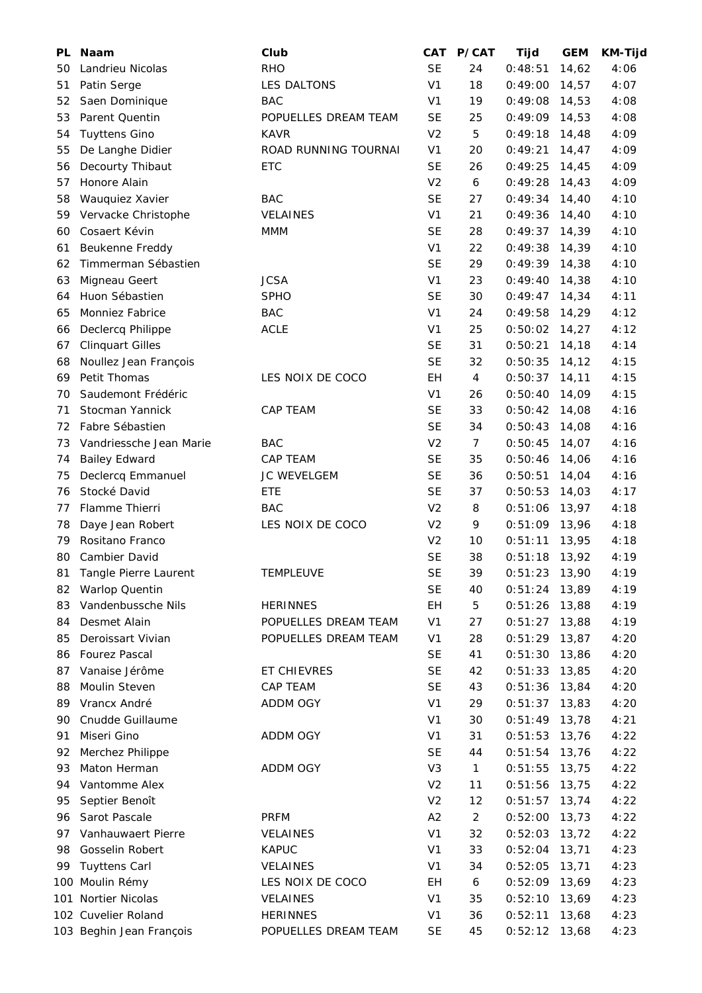| PL.      | <b>Naam</b>                                 | Club                 | CAT                         | P/CAT          | Tijd               | <b>GEM</b>     | <b>KM-Tijd</b> |
|----------|---------------------------------------------|----------------------|-----------------------------|----------------|--------------------|----------------|----------------|
| 50       | Landrieu Nicolas                            | <b>RHO</b>           | <b>SE</b>                   | 24             | 0:48:51            | 14,62          | 4:06           |
| 51       | Patin Serge                                 | LES DALTONS          | V <sub>1</sub>              | 18             | 0:49:00            | 14,57          | 4:07           |
| 52       | Saen Dominique                              | <b>BAC</b>           | V <sub>1</sub>              | 19             | 0:49:08            | 14,53          | 4:08           |
| 53       | Parent Quentin                              | POPUELLES DREAM TEAM | <b>SE</b>                   | 25             | 0:49:09            | 14,53          | 4:08           |
| 54       | <b>Tuyttens Gino</b>                        | <b>KAVR</b>          | V <sub>2</sub>              | 5              | 0:49:18            | 14,48          | 4:09           |
| 55       | De Langhe Didier                            | ROAD RUNNING TOURNAI | V <sub>1</sub>              | 20             | 0:49:21            | 14,47          | 4:09           |
| 56       | Decourty Thibaut                            | <b>ETC</b>           | <b>SE</b>                   | 26             | 0:49:25            | 14,45          | 4:09           |
| 57       | Honore Alain                                |                      | V <sub>2</sub>              | 6              | 0:49:28            | 14,43          | 4:09           |
| 58       | Wauquiez Xavier                             | <b>BAC</b>           | <b>SE</b>                   | 27             | $0:49:34$ 14,40    |                | 4:10           |
| 59       | Vervacke Christophe                         | <b>VELAINES</b>      | V <sub>1</sub>              | 21             | 0:49:36            | 14,40          | 4:10           |
| 60       | Cosaert Kévin                               | MMM                  | <b>SE</b>                   | 28             | 0:49:37            | 14,39          | 4:10           |
| 61       | Beukenne Freddy                             |                      | V <sub>1</sub>              | 22             | 0:49:38            | 14,39          | 4:10           |
| 62       | Timmerman Sébastien                         |                      | <b>SE</b>                   | 29             | $0:49:39$ 14,38    |                | 4:10           |
| 63       | Migneau Geert                               | <b>JCSA</b>          | V <sub>1</sub>              | 23             | 0:49:40            | 14,38          | 4:10           |
| 64       | Huon Sébastien                              | <b>SPHO</b>          | <b>SE</b>                   | 30             | 0:49:47            | 14,34          | 4:11           |
| 65       | Monniez Fabrice                             | <b>BAC</b>           | V <sub>1</sub>              | 24             | 0:49:58            | 14,29          | 4:12           |
| 66       | Declercq Philippe                           | <b>ACLE</b>          | V <sub>1</sub>              | 25             | 0:50:02            | 14,27          | 4:12           |
| 67       | <b>Clinquart Gilles</b>                     |                      | <b>SE</b>                   | 31             | 0:50:21            | 14,18          | 4:14           |
| 68       | Noullez Jean François                       |                      | <b>SE</b>                   | 32             | 0:50:35            | 14,12          | 4:15           |
| 69       | Petit Thomas                                | LES NOIX DE COCO     | EH                          | 4              | 0:50:37            | 14,11          | 4:15           |
| 70       | Saudemont Frédéric                          |                      | V <sub>1</sub>              | 26             | 0:50:40            | 14,09          | 4:15           |
| 71       | Stocman Yannick                             | <b>CAP TEAM</b>      | <b>SE</b>                   | 33             | 0:50:42            | 14,08          | 4:16           |
| 72       | Fabre Sébastien                             |                      | <b>SE</b>                   | 34             | 0:50:43            | 14,08          | 4:16           |
| 73       | Vandriessche Jean Marie                     | <b>BAC</b>           | V <sub>2</sub>              | $\overline{7}$ | 0:50:45            | 14,07          | 4:16           |
| 74       | <b>Bailey Edward</b>                        | <b>CAP TEAM</b>      | <b>SE</b>                   | 35             | 0:50:46            | 14,06          | 4:16           |
| 75       | Declercq Emmanuel                           | JC WEVELGEM          | <b>SE</b>                   | 36             | 0:50:51            | 14,04          | 4:16           |
| 76       | Stocké David                                | ETE                  | <b>SE</b>                   | 37             | 0:50:53            | 14,03          | 4:17           |
| 77       | Flamme Thierri                              | <b>BAC</b>           | V <sub>2</sub>              | 8              | 0:51:06            | 13,97          | 4:18           |
| 78       | Daye Jean Robert                            | LES NOIX DE COCO     | V <sub>2</sub>              | 9              | $0:51:09$ 13,96    |                | 4:18           |
|          |                                             |                      |                             | 10             |                    |                |                |
| 79<br>80 | Rositano Franco<br>Cambier David            |                      | V <sub>2</sub><br><b>SE</b> | 38             | 0:51:11<br>0:51:18 | 13,95<br>13,92 | 4:18<br>4:19   |
|          | Tangle Pierre Laurent                       | <b>TEMPLEUVE</b>     | <b>SE</b>                   | 39             | $0:51:23$ 13,90    |                | 4:19           |
| 81       |                                             |                      | <b>SE</b>                   | 40             |                    |                |                |
| 82       | <b>Warlop Quentin</b><br>Vandenbussche Nils | <b>HERINNES</b>      | EH                          |                | $0:51:24$ 13,89    |                | 4:19           |
| 83       | Desmet Alain                                | POPUELLES DREAM TEAM | V <sub>1</sub>              | 5<br>27        | $0:51:26$ 13,88    |                | 4:19           |
| 84       |                                             |                      |                             |                | 0:51:27            | 13,88          | 4:19           |
| 85       | Deroissart Vivian                           | POPUELLES DREAM TEAM | V <sub>1</sub>              | 28             | $0:51:29$ 13,87    |                | 4:20           |
| 86       | <b>Fourez Pascal</b>                        |                      | SE                          | 41             | $0:51:30$ 13,86    |                | 4:20           |
| 87       | Vanaise Jérôme                              | ET CHIEVRES          | <b>SE</b>                   | 42             | $0:51:33$ 13,85    |                | 4:20           |
| 88       | Moulin Steven                               | CAP TEAM             | <b>SE</b>                   | 43             | $0:51:36$ 13,84    |                | 4:20           |
| 89       | Vrancx André                                | ADDM OGY             | V <sub>1</sub>              | 29             | $0:51:37$ 13,83    |                | 4:20           |
| 90       | Cnudde Guillaume                            |                      | V <sub>1</sub>              | 30             | $0:51:49$ 13,78    |                | 4:21           |
| 91       | Miseri Gino                                 | ADDM OGY             | V <sub>1</sub>              | 31             | $0:51:53$ 13,76    |                | 4:22           |
| 92       | Merchez Philippe                            |                      | <b>SE</b>                   | 44             | $0:51:54$ 13,76    |                | 4:22           |
| 93       | Maton Herman                                | ADDM OGY             | V <sub>3</sub>              | $\mathbf{1}$   | $0:51:55$ 13,75    |                | 4:22           |
| 94       | Vantomme Alex                               |                      | V <sub>2</sub>              | 11             | $0:51:56$ 13,75    |                | 4:22           |
| 95       | Septier Benoît                              |                      | V <sub>2</sub>              | 12             | $0:51:57$ 13,74    |                | 4:22           |
| 96       | Sarot Pascale                               | <b>PRFM</b>          | A2                          | $\overline{c}$ | 0:52:00            | 13,73          | 4:22           |
| 97       | Vanhauwaert Pierre                          | <b>VELAINES</b>      | V <sub>1</sub>              | 32             | 0:52:03            | 13,72          | 4:22           |
| 98       | Gosselin Robert                             | <b>KAPUC</b>         | V <sub>1</sub>              | 33             | 0:52:04            | 13,71          | 4:23           |
| 99       | <b>Tuyttens Carl</b>                        | VELAINES             | V <sub>1</sub>              | 34             | 0:52:05            | 13,71          | 4:23           |
|          | 100 Moulin Rémy                             | LES NOIX DE COCO     | EH                          | 6              | $0:52:09$ 13,69    |                | 4:23           |
| 101      | Nortier Nicolas                             | VELAINES             | V <sub>1</sub>              | 35             | $0:52:10$ 13,69    |                | 4:23           |
|          | 102 Cuvelier Roland                         | <b>HERINNES</b>      | V <sub>1</sub>              | 36             | 0:52:11            | 13,68          | 4:23           |
|          | 103 Beghin Jean François                    | POPUELLES DREAM TEAM | <b>SE</b>                   | 45             | 0:52:12            | 13,68          | 4:23           |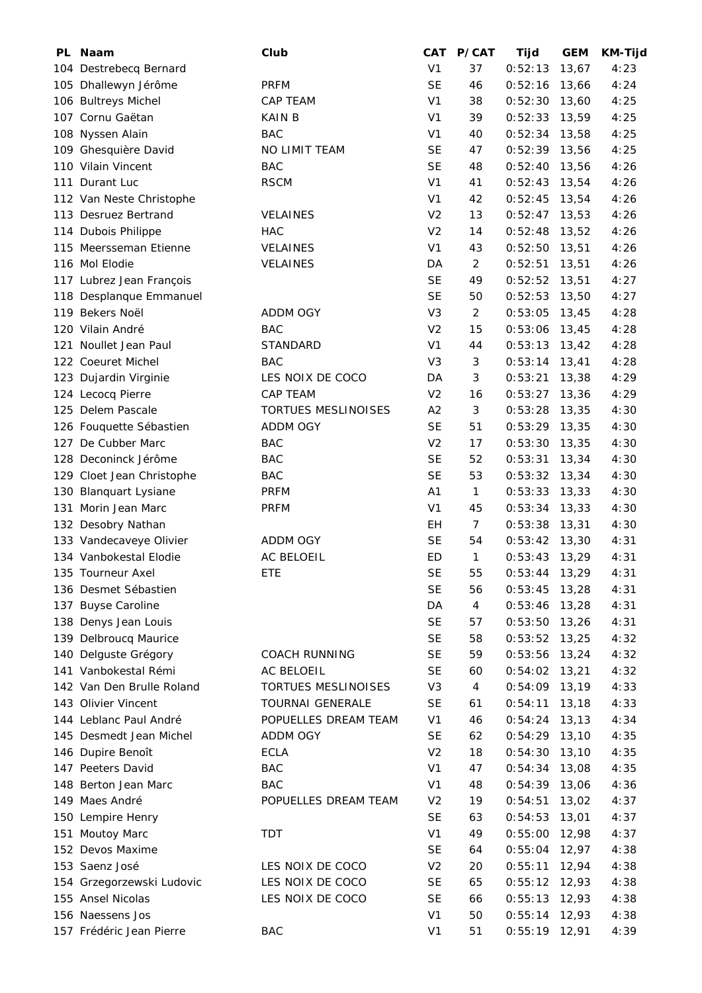| PL Naam                   | Club                       | <b>CAT</b>             | P/CAT              | Tijd                       | <b>GEM</b> | KM-Tijd |
|---------------------------|----------------------------|------------------------|--------------------|----------------------------|------------|---------|
| 104 Destrebecq Bernard    |                            | V <sub>1</sub>         | 37                 | 0:52:13                    | 13,67      | 4:23    |
| 105 Dhallewyn Jérôme      | <b>PRFM</b>                | <b>SE</b>              | 46                 | 0:52:16                    | 13,66      | 4:24    |
| 106 Bultreys Michel       | CAP TEAM                   | V <sub>1</sub>         | 38                 | 0:52:30                    | 13,60      | 4:25    |
| 107 Cornu Gaëtan          | <b>KAIN B</b>              | V <sub>1</sub>         | 39                 | 0:52:33                    | 13,59      | 4:25    |
| 108 Nyssen Alain          | <b>BAC</b>                 | V <sub>1</sub>         | 40                 | 0:52:34                    | 13,58      | 4:25    |
| 109 Ghesquière David      | NO LIMIT TEAM              | <b>SE</b>              | 47                 | $0:52:39$ 13,56            |            | 4:25    |
| 110 Vilain Vincent        | <b>BAC</b>                 | <b>SE</b>              | 48                 | 0:52:40                    | 13,56      | 4:26    |
| 111 Durant Luc            | <b>RSCM</b>                | V <sub>1</sub>         | 41                 | $0:52:43$ 13,54            |            | 4:26    |
| 112 Van Neste Christophe  |                            | V <sub>1</sub>         | 42                 | $0:52:45$ 13,54            |            | 4:26    |
| 113 Desruez Bertrand      | <b>VELAINES</b>            | V <sub>2</sub>         | 13                 | $0:52:47$ 13,53            |            | 4:26    |
| 114 Dubois Philippe       | <b>HAC</b>                 | V <sub>2</sub>         | 14                 | 0:52:48                    | 13,52      | 4:26    |
| 115 Meersseman Etienne    | <b>VELAINES</b>            | V <sub>1</sub>         | 43                 | 0:52:50                    | 13,51      | 4:26    |
| 116 Mol Elodie            | <b>VELAINES</b>            | DA                     | 2                  | 0:52:51                    | 13,51      | 4:26    |
| 117 Lubrez Jean François  |                            | <b>SE</b>              | 49                 | 0:52:52                    | 13,51      | 4:27    |
| 118 Desplanque Emmanuel   |                            | <b>SE</b>              | 50                 | 0:52:53                    | 13,50      | 4:27    |
| 119 Bekers Noël           | <b>ADDM OGY</b>            | V <sub>3</sub>         | 2                  | $0:53:05$ 13,45            |            | 4:28    |
| 120 Vilain André          | <b>BAC</b>                 | V <sub>2</sub>         | 15                 | 0:53:06                    | 13,45      | 4:28    |
| 121 Noullet Jean Paul     | <b>STANDARD</b>            | V <sub>1</sub>         | 44                 | 0:53:13                    | 13,42      | 4:28    |
| 122 Coeuret Michel        | <b>BAC</b>                 | V <sub>3</sub>         | 3                  | 0:53:14                    | 13,41      | 4:28    |
| 123 Dujardin Virginie     | LES NOIX DE COCO           | DA                     | 3                  | 0:53:21                    | 13,38      | 4:29    |
| 124 Lecocq Pierre         | CAP TEAM                   | V <sub>2</sub>         | 16                 | 0:53:27                    | 13,36      | 4:29    |
| 125 Delem Pascale         | <b>TORTUES MESLINOISES</b> | A2                     | 3                  | $0:53:28$ 13,35            |            | 4:30    |
| 126 Fouquette Sébastien   | ADDM OGY                   | <b>SE</b>              | 51                 | $0:53:29$ 13,35            |            | 4:30    |
| 127 De Cubber Marc        | <b>BAC</b>                 | V <sub>2</sub>         | 17                 | 0:53:30                    | 13,35      | 4:30    |
| 128 Deconinck Jérôme      | <b>BAC</b>                 | <b>SE</b>              | 52                 | 0:53:31                    | 13,34      | 4:30    |
| 129 Cloet Jean Christophe | BAC                        | <b>SE</b>              | 53                 | $0:53:32$ 13,34            |            | 4:30    |
| 130 Blanquart Lysiane     | <b>PRFM</b>                | A1                     | $\mathbf{1}$       | 0:53:33                    | 13,33      | 4:30    |
| 131 Morin Jean Marc       | <b>PRFM</b>                | V <sub>1</sub>         | 45                 | 0:53:34                    | 13,33      | 4:30    |
|                           |                            | EH.                    | $\overline{7}$     | $0:53:38$ 13,31            |            | 4:30    |
| 132 Desobry Nathan        |                            |                        | 54                 |                            |            |         |
| 133 Vandecaveye Olivier   | ADDM OGY                   | SE                     |                    | $0:53:42$ 13,30            |            | 4:31    |
| 134 Vanbokestal Elodie    | <b>AC BELOEIL</b>          | <b>ED</b><br><b>SE</b> | $\mathbf{1}$<br>55 | 0:53:43<br>$0:53:44$ 13,29 | 13,29      | 4:31    |
| 135 Tourneur Axel         | ETE                        |                        |                    |                            |            | 4:31    |
| 136 Desmet Sébastien      |                            | <b>SE</b>              | 56                 | $0:53:45$ 13,28            |            | 4:31    |
| 137 Buyse Caroline        |                            | DA                     | 4                  | 0:53:46                    | 13,28      | 4:31    |
| 138 Denys Jean Louis      |                            | <b>SE</b>              | 57                 | 0:53:50                    | 13,26      | 4:31    |
| 139 Delbroucq Maurice     |                            | <b>SE</b>              | 58                 | $0:53:52$ 13,25            |            | 4:32    |
| 140 Delguste Grégory      | <b>COACH RUNNING</b>       | <b>SE</b>              | 59                 | $0:53:56$ 13,24            |            | 4:32    |
| 141 Vanbokestal Rémi      | AC BELOEIL                 | <b>SE</b>              | 60                 | $0:54:02$ 13,21            |            | 4:32    |
| 142 Van Den Brulle Roland | <b>TORTUES MESLINOISES</b> | V <sub>3</sub>         | 4                  | $0:54:09$ 13,19            |            | 4:33    |
| 143 Olivier Vincent       | <b>TOURNAI GENERALE</b>    | SE                     | 61                 | 0:54:11                    | 13,18      | 4:33    |
| 144 Leblanc Paul André    | POPUELLES DREAM TEAM       | V <sub>1</sub>         | 46                 | 0:54:24                    | 13, 13     | 4:34    |
| 145 Desmedt Jean Michel   | ADDM OGY                   | <b>SE</b>              | 62                 | $0:54:29$ 13,10            |            | 4:35    |
| 146 Dupire Benoît         | <b>ECLA</b>                | V <sub>2</sub>         | 18                 | $0:54:30$ 13,10            |            | 4:35    |
| 147 Peeters David         | <b>BAC</b>                 | V <sub>1</sub>         | 47                 | 0:54:34                    | 13,08      | 4:35    |
| 148 Berton Jean Marc      | <b>BAC</b>                 | V <sub>1</sub>         | 48                 | $0:54:39$ 13,06            |            | 4:36    |
| 149 Maes André            | POPUELLES DREAM TEAM       | V <sub>2</sub>         | 19                 | $0:54:51$ 13,02            |            | 4:37    |
| 150 Lempire Henry         |                            | <b>SE</b>              | 63                 | 0:54:53                    | 13,01      | 4:37    |
| 151 Moutoy Marc           | <b>TDT</b>                 | V <sub>1</sub>         | 49                 | 0:55:00                    | 12,98      | 4:37    |
| 152 Devos Maxime          |                            | <b>SE</b>              | 64                 | $0:55:04$ 12,97            |            | 4:38    |
| 153 Saenz José            | LES NOIX DE COCO           | V <sub>2</sub>         | 20                 | 0:55:11                    | 12,94      | 4:38    |
| 154 Grzegorzewski Ludovic | LES NOIX DE COCO           | <b>SE</b>              | 65                 | $0:55:12$ 12,93            |            | 4:38    |
| 155 Ansel Nicolas         | LES NOIX DE COCO           | <b>SE</b>              | 66                 | $0:55:13$ 12,93            |            | 4:38    |
| 156 Naessens Jos          |                            | V <sub>1</sub>         | 50                 | $0:55:14$ 12,93            |            | 4:38    |
| 157 Frédéric Jean Pierre  | BAC                        | V <sub>1</sub>         | 51                 | $0:55:19$ 12,91            |            | 4:39    |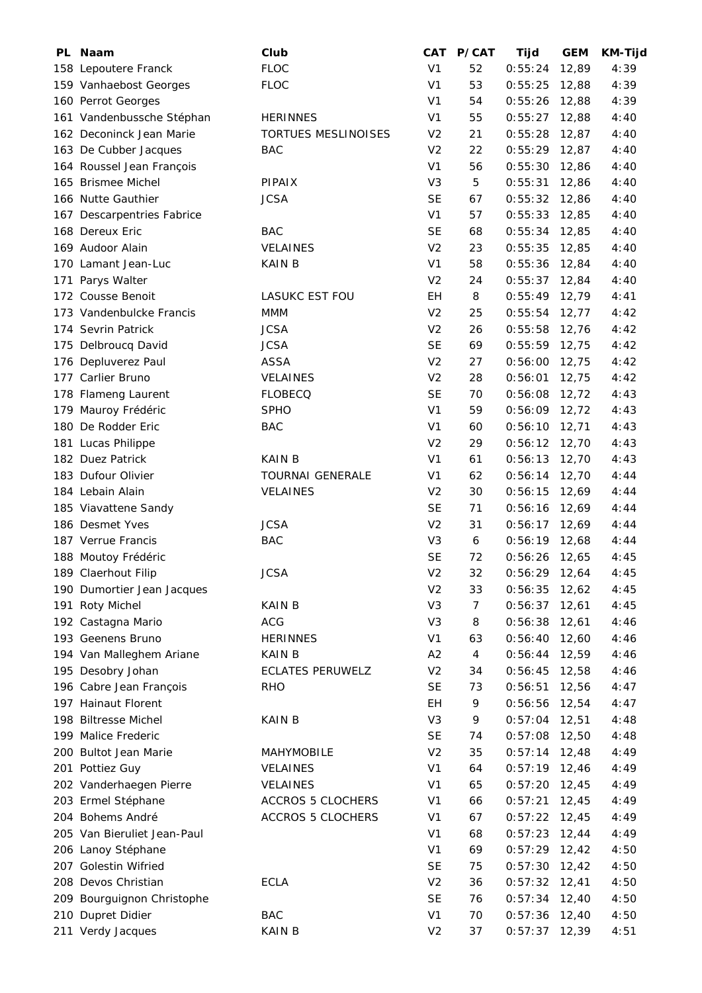| PL Naam                     | Club                       | <b>CAT</b>     | <b>P/CAT</b> | Tijd            | <b>GEM</b> | <b>KM-Tijd</b> |
|-----------------------------|----------------------------|----------------|--------------|-----------------|------------|----------------|
| 158 Lepoutere Franck        | <b>FLOC</b>                | V <sub>1</sub> | 52           | 0:55:24         | 12,89      | 4:39           |
| 159 Vanhaebost Georges      | <b>FLOC</b>                | V <sub>1</sub> | 53           | 0:55:25         | 12,88      | 4:39           |
| 160 Perrot Georges          |                            | V <sub>1</sub> | 54           | 0:55:26         | 12,88      | 4:39           |
| 161 Vandenbussche Stéphan   | <b>HERINNES</b>            | V <sub>1</sub> | 55           | 0:55:27         | 12,88      | 4:40           |
| 162 Deconinck Jean Marie    | <b>TORTUES MESLINOISES</b> | V <sub>2</sub> | 21           | 0:55:28         | 12,87      | 4:40           |
| 163 De Cubber Jacques       | <b>BAC</b>                 | V <sub>2</sub> | 22           | $0:55:29$ 12,87 |            | 4:40           |
| 164 Roussel Jean François   |                            | V <sub>1</sub> | 56           | 0:55:30         | 12,86      | 4:40           |
| 165 Brismee Michel          | PIPAIX                     | V <sub>3</sub> | 5            | 0:55:31         | 12,86      | 4:40           |
| 166 Nutte Gauthier          | <b>JCSA</b>                | <b>SE</b>      | 67           | $0:55:32$ 12,86 |            | 4:40           |
| 167 Descarpentries Fabrice  |                            | V <sub>1</sub> | 57           | $0:55:33$ 12,85 |            | 4:40           |
| 168 Dereux Eric             | <b>BAC</b>                 | <b>SE</b>      | 68           | 0:55:34         | 12,85      | 4:40           |
| 169 Audoor Alain            | <b>VELAINES</b>            | V <sub>2</sub> | 23           | 0:55:35         | 12,85      | 4:40           |
| 170 Lamant Jean-Luc         | KAIN B                     | V <sub>1</sub> | 58           | 0:55:36         | 12,84      | 4:40           |
| 171 Parys Walter            |                            | V <sub>2</sub> | 24           | 0:55:37         | 12,84      | 4:40           |
| 172 Cousse Benoit           | <b>LASUKC EST FOU</b>      | EH             | 8            | 0:55:49         | 12,79      | 4:41           |
| 173 Vandenbulcke Francis    | MMM                        | V <sub>2</sub> | 25           | $0:55:54$ 12,77 |            | 4:42           |
| 174 Sevrin Patrick          | <b>JCSA</b>                | V <sub>2</sub> | 26           | 0:55:58         | 12,76      | 4:42           |
| 175 Delbroucq David         | <b>JCSA</b>                | <b>SE</b>      | 69           | 0:55:59         | 12,75      | 4:42           |
| 176 Depluverez Paul         | <b>ASSA</b>                | V <sub>2</sub> | 27           | 0:56:00         | 12,75      | 4:42           |
| 177 Carlier Bruno           | <b>VELAINES</b>            | V <sub>2</sub> | 28           | 0:56:01         | 12,75      | 4:42           |
| 178 Flameng Laurent         | <b>FLOBECQ</b>             | <b>SE</b>      | 70           | 0:56:08         | 12,72      | 4:43           |
| 179 Mauroy Frédéric         | <b>SPHO</b>                | V <sub>1</sub> | 59           | $0:56:09$ 12,72 |            | 4:43           |
|                             | <b>BAC</b>                 | V <sub>1</sub> |              |                 |            |                |
| 180 De Rodder Eric          |                            |                | 60           | $0:56:10$ 12,71 |            | 4:43           |
| 181 Lucas Philippe          |                            | V <sub>2</sub> | 29           | 0:56:12         | 12,70      | 4:43           |
| 182 Duez Patrick            | <b>KAIN B</b>              | V <sub>1</sub> | 61           | 0:56:13         | 12,70      | 4:43           |
| 183 Dufour Olivier          | <b>TOURNAI GENERALE</b>    | V <sub>1</sub> | 62           | 0:56:14         | 12,70      | 4:44           |
| 184 Lebain Alain            | <b>VELAINES</b>            | V <sub>2</sub> | 30           | 0:56:15         | 12,69      | 4:44           |
| 185 Viavattene Sandy        |                            | <b>SE</b>      | 71           | 0:56:16         | 12,69      | 4:44           |
| 186 Desmet Yves             | <b>JCSA</b>                | V <sub>2</sub> | 31           | $0:56:17$ 12,69 |            | 4:44           |
| 187 Verrue Francis          | <b>BAC</b>                 | V3             | 6            | $0:56:19$ 12,68 |            | 4:44           |
| 188 Moutoy Frédéric         |                            | <b>SE</b>      | 72           | $0:56:26$ 12,65 |            | 4:45           |
| 189 Claerhout Filip         | <b>JCSA</b>                | V <sub>2</sub> | 32           | $0:56:29$ 12,64 |            | 4:45           |
| 190 Dumortier Jean Jacques  |                            | V <sub>2</sub> | 33           | $0:56:35$ 12,62 |            | 4:45           |
| 191 Roty Michel             | <b>KAIN B</b>              | V3             | 7            | 0:56:37         | 12,61      | 4:45           |
| 192 Castagna Mario          | <b>ACG</b>                 | V <sub>3</sub> | 8            | 0:56:38         | 12,61      | 4:46           |
| 193 Geenens Bruno           | <b>HERINNES</b>            | V <sub>1</sub> | 63           | 0:56:40         | 12,60      | 4:46           |
| 194 Van Malleghem Ariane    | KAIN B                     | A2             | 4            | 0:56:44         | 12,59      | 4:46           |
| 195 Desobry Johan           | <b>ECLATES PERUWELZ</b>    | V <sub>2</sub> | 34           | 0:56:45         | 12,58      | 4:46           |
| 196 Cabre Jean François     | <b>RHO</b>                 | <b>SE</b>      | 73           | $0:56:51$ 12,56 |            | 4:47           |
| 197 Hainaut Florent         |                            | EН             | 9            | 0:56:56         | 12,54      | 4:47           |
| 198 Biltresse Michel        | KAIN B                     | V <sub>3</sub> | 9            | 0:57:04         | 12,51      | 4:48           |
| 199 Malice Frederic         |                            | <b>SE</b>      | 74           | 0:57:08         | 12,50      | 4:48           |
| 200 Bultot Jean Marie       | <b>MAHYMOBILE</b>          | V <sub>2</sub> | 35           | $0:57:14$ 12,48 |            | 4:49           |
| 201 Pottiez Guy             | <b>VELAINES</b>            | V <sub>1</sub> | 64           | 0:57:19         | 12,46      | 4:49           |
| 202 Vanderhaegen Pierre     | <b>VELAINES</b>            | V <sub>1</sub> | 65           | 0:57:20         | 12,45      | 4:49           |
| 203 Ermel Stéphane          | <b>ACCROS 5 CLOCHERS</b>   | V <sub>1</sub> | 66           | $0:57:21$ 12,45 |            | 4:49           |
| 204 Bohems André            | <b>ACCROS 5 CLOCHERS</b>   | V <sub>1</sub> | 67           | 0:57:22         | 12,45      | 4:49           |
| 205 Van Bieruliet Jean-Paul |                            | V <sub>1</sub> | 68           | 0:57:23         | 12,44      | 4:49           |
| 206 Lanoy Stéphane          |                            | V <sub>1</sub> | 69           | $0:57:29$ 12,42 |            | 4:50           |
| 207 Golestin Wifried        |                            | <b>SE</b>      | 75           | 0:57:30         | 12,42      | 4:50           |
| 208 Devos Christian         | <b>ECLA</b>                | V <sub>2</sub> | 36           | $0:57:32$ 12,41 |            | 4:50           |
| 209 Bourguignon Christophe  |                            | <b>SE</b>      | 76           | $0:57:34$ 12,40 |            | 4:50           |
| 210 Dupret Didier           | <b>BAC</b>                 | V <sub>1</sub> | 70           | $0:57:36$ 12,40 |            | 4:50           |
| 211 Verdy Jacques           | <b>KAIN B</b>              | V <sub>2</sub> | 37           | $0:57:37$ 12,39 |            | 4:51           |
|                             |                            |                |              |                 |            |                |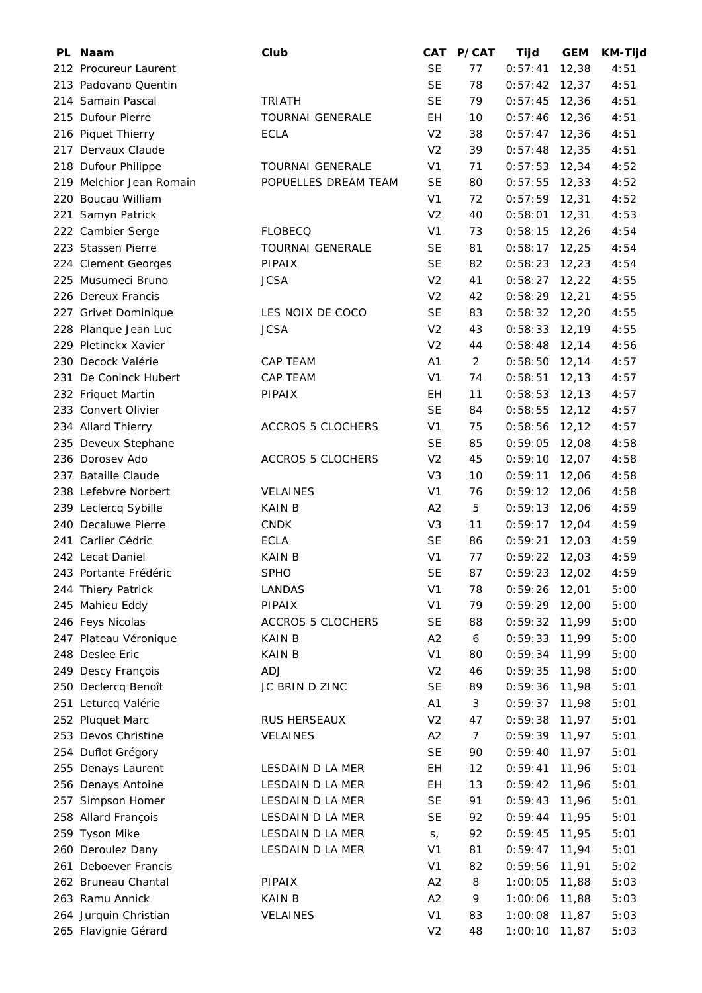| PL | <b>Naam</b>              | Club                     | CAT            | P/CAT            | Tijd            | <b>GEM</b> | <b>KM-Tijd</b> |
|----|--------------------------|--------------------------|----------------|------------------|-----------------|------------|----------------|
|    | 212 Procureur Laurent    |                          | <b>SE</b>      | 77               | 0:57:41         | 12,38      | 4:51           |
|    | 213 Padovano Quentin     |                          | <b>SE</b>      | 78               | 0:57:42         | 12,37      | 4:51           |
|    | 214 Samain Pascal        | <b>TRIATH</b>            | <b>SE</b>      | 79               | $0:57:45$ 12,36 |            | 4:51           |
|    | 215 Dufour Pierre        | <b>TOURNAI GENERALE</b>  | EH             | 10               | 0:57:46         | 12,36      | 4:51           |
|    | 216 Piquet Thierry       | <b>ECLA</b>              | V <sub>2</sub> | 38               | 0:57:47         | 12,36      | 4:51           |
|    | 217 Dervaux Claude       |                          | V <sub>2</sub> | 39               | 0:57:48         | 12,35      | 4:51           |
|    | 218 Dufour Philippe      | <b>TOURNAI GENERALE</b>  | V <sub>1</sub> | 71               | 0:57:53         | 12,34      | 4:52           |
|    | 219 Melchior Jean Romain | POPUELLES DREAM TEAM     | <b>SE</b>      | 80               | 0:57:55         | 12,33      | 4:52           |
|    | 220 Boucau William       |                          | V <sub>1</sub> | 72               | 0:57:59         | 12,31      | 4:52           |
|    | 221 Samyn Patrick        |                          | V <sub>2</sub> | 40               | $0:58:01$ 12,31 |            | 4:53           |
|    | 222 Cambier Serge        | <b>FLOBECQ</b>           | V <sub>1</sub> | 73               | 0:58:15         | 12,26      | 4:54           |
|    | 223 Stassen Pierre       | <b>TOURNAI GENERALE</b>  | <b>SE</b>      | 81               | 0:58:17         | 12,25      | 4:54           |
|    | 224 Clement Georges      | <b>PIPAIX</b>            | <b>SE</b>      | 82               | 0:58:23         | 12,23      | 4:54           |
|    | 225 Musumeci Bruno       | <b>JCSA</b>              | V <sub>2</sub> | 41               | $0:58:27$ 12,22 |            | 4:55           |
|    | 226 Dereux Francis       |                          | V <sub>2</sub> | 42               | $0:58:29$ 12,21 |            | 4:55           |
|    | 227 Grivet Dominique     | LES NOIX DE COCO         | <b>SE</b>      | 83               | $0:58:32$ 12,20 |            | 4:55           |
|    | 228 Planque Jean Luc     | <b>JCSA</b>              | V <sub>2</sub> | 43               | 0:58:33         | 12,19      | 4:55           |
|    | 229 Pletinckx Xavier     |                          | V <sub>2</sub> | 44               | 0:58:48         | 12,14      | 4:56           |
|    | 230 Decock Valérie       | CAP TEAM                 | A1             | 2                | 0:58:50         | 12,14      | 4:57           |
|    | 231 De Coninck Hubert    | CAP TEAM                 | V <sub>1</sub> | 74               | 0:58:51         | 12, 13     | 4:57           |
|    | 232 Friquet Martin       | PIPAIX                   | EН             | 11               | 0:58:53         | 12, 13     | 4:57           |
|    | 233 Convert Olivier      |                          | <b>SE</b>      | 84               | 0:58:55         | 12,12      | 4:57           |
|    | 234 Allard Thierry       | <b>ACCROS 5 CLOCHERS</b> | V <sub>1</sub> | 75               | $0:58:56$ 12,12 |            | 4:57           |
|    | 235 Deveux Stephane      |                          | <b>SE</b>      | 85               | 0:59:05         | 12,08      | 4:58           |
|    | 236 Dorosev Ado          | <b>ACCROS 5 CLOCHERS</b> | V <sub>2</sub> | 45               | 0:59:10         | 12,07      | 4:58           |
|    | 237 Bataille Claude      |                          | V <sub>3</sub> | 10               | 0:59:11         | 12,06      | 4:58           |
|    | 238 Lefebvre Norbert     | <b>VELAINES</b>          | V <sub>1</sub> | 76               | 0:59:12         | 12,06      | 4:58           |
|    | 239 Leclercq Sybille     | <b>KAIN B</b>            | A <sub>2</sub> | 5                | 0:59:13         | 12,06      | 4:59           |
|    | 240 Decaluwe Pierre      | <b>CNDK</b>              | V <sub>3</sub> | 11               | 0:59:17         | 12,04      | 4:59           |
|    | 241 Carlier Cédric       | <b>ECLA</b>              | <b>SE</b>      | 86               | 0:59:21         | 12,03      | 4:59           |
|    | 242 Lecat Daniel         | <b>KAIN B</b>            | V <sub>1</sub> | 77               | 0:59:22         |            | 4:59           |
|    |                          | <b>SPHO</b>              | <b>SE</b>      |                  |                 | 12,03      |                |
|    | 243 Portante Frédéric    |                          | V <sub>1</sub> | 87<br>78         | $0:59:23$ 12,02 |            | 4:59           |
|    | 244 Thiery Patrick       | LANDAS                   |                |                  | $0:59:26$ 12,01 |            | 5:00           |
|    | 245 Mahieu Eddy          | PIPAIX                   | V <sub>1</sub> | 79               | $0:59:29$ 12,00 |            | 5:00           |
|    | 246 Feys Nicolas         | <b>ACCROS 5 CLOCHERS</b> | <b>SE</b>      | 88               | $0:59:32$ 11,99 |            | 5:00           |
|    | 247 Plateau Véronique    | <b>KAIN B</b>            | A2             | $\boldsymbol{6}$ | 0:59:33         | 11,99      | 5:00           |
|    | 248 Deslee Eric          | KAIN B                   | V <sub>1</sub> | 80               | 0:59:34 11,99   |            | 5:00           |
|    | 249 Descy François       | ADJ                      | V <sub>2</sub> | 46               | $0:59:35$ 11,98 |            | 5:00           |
|    | 250 Declercq Benoît      | JC BRIN D ZINC           | <b>SE</b>      | 89               | 0:59:36 11,98   |            | 5:01           |
|    | 251 Leturcq Valérie      |                          | A1             | 3                | $0:59:37$ 11,98 |            | 5:01           |
|    | 252 Pluquet Marc         | RUS HERSEAUX             | V <sub>2</sub> | 47               | 0:59:38         | 11,97      | 5:01           |
|    | 253 Devos Christine      | <b>VELAINES</b>          | A2             | 7                | 0:59:39         | 11,97      | 5:01           |
|    | 254 Duflot Grégory       |                          | <b>SE</b>      | 90               | 0:59:40         | 11,97      | 5:01           |
|    | 255 Denays Laurent       | LESDAIN D LA MER         | EH             | 12               | 0:59:41         | 11,96      | 5:01           |
|    | 256 Denays Antoine       | LESDAIN D LA MER         | EH             | 13               | $0:59:42$ 11,96 |            | 5:01           |
|    | 257 Simpson Homer        | LESDAIN D LA MER         | <b>SE</b>      | 91               | $0:59:43$ 11,96 |            | 5:01           |
|    | 258 Allard François      | LESDAIN D LA MER         | <b>SE</b>      | 92               | $0:59:44$ 11,95 |            | 5:01           |
|    | 259 Tyson Mike           | LESDAIN D LA MER         | $S_{I}$        | 92               | 0:59:45         | 11,95      | 5:01           |
|    | 260 Deroulez Dany        | LESDAIN D LA MER         | V <sub>1</sub> | 81               | 0:59:47         | 11,94      | 5:01           |
|    | 261 Deboever Francis     |                          | V <sub>1</sub> | 82               | 0:59:56         | 11,91      | 5:02           |
|    | 262 Bruneau Chantal      | PIPAIX                   | A2             | 8                | 1:00:05         | 11,88      | 5:03           |
|    | 263 Ramu Annick          | <b>KAIN B</b>            | A2             | 9                | 1:00:06         | 11,88      | 5:03           |
|    | 264 Jurquin Christian    | VELAINES                 | V <sub>1</sub> | 83               | 1:00:08 11,87   |            | 5:03           |
|    | 265 Flavignie Gérard     |                          | V <sub>2</sub> | 48               | 1:00:10 11,87   |            | 5:03           |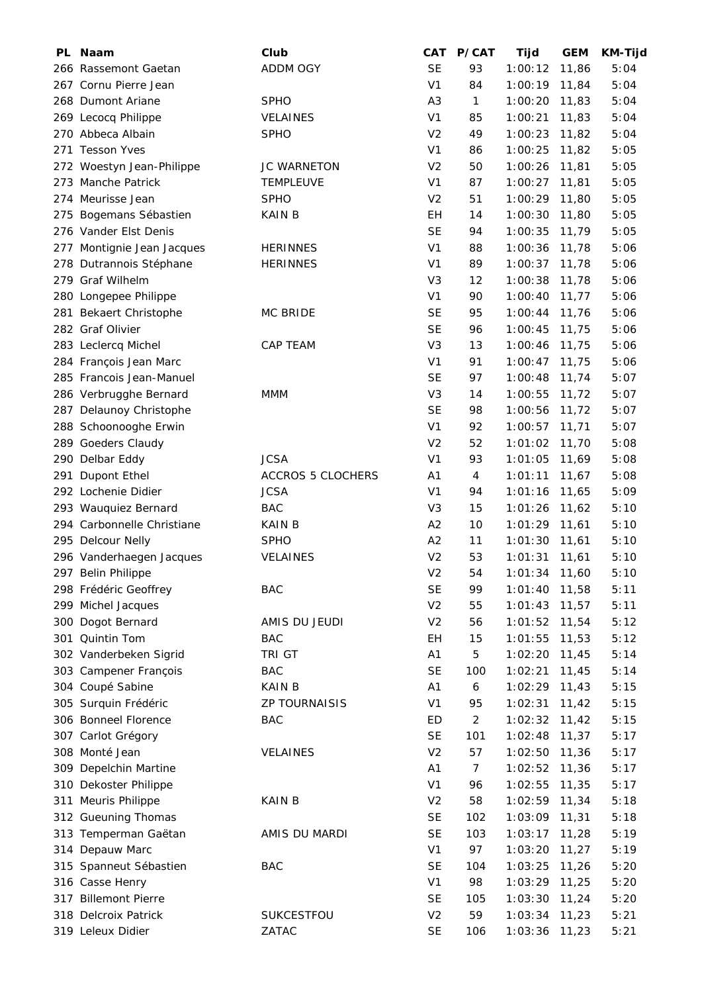| PL Naam                                        | Club                     | CAT            | P/CAT          | Tijd               | <b>GEM</b> | <b>KM-Tijd</b> |
|------------------------------------------------|--------------------------|----------------|----------------|--------------------|------------|----------------|
| 266 Rassemont Gaetan                           | <b>ADDM OGY</b>          | <b>SE</b>      | 93             | 1:00:12            | 11,86      | 5:04           |
| 267 Cornu Pierre Jean                          |                          | V <sub>1</sub> | 84             | 1:00:19            | 11,84      | 5:04           |
| 268 Dumont Ariane                              | <b>SPHO</b>              | A <sub>3</sub> | $\mathbf{1}$   | 1:00:20            | 11,83      | 5:04           |
| 269 Lecocq Philippe                            | <b>VELAINES</b>          | V <sub>1</sub> | 85             | 1:00:21            | 11,83      | 5:04           |
| 270 Abbeca Albain                              | <b>SPHO</b>              | V <sub>2</sub> | 49             | 1:00:23            | 11,82      | 5:04           |
| 271 Tesson Yves                                |                          | V <sub>1</sub> | 86             | 1:00:25            | 11,82      | 5:05           |
| 272 Woestyn Jean-Philippe                      | <b>JC WARNETON</b>       | V <sub>2</sub> | 50             | 1:00:26            | 11,81      | 5:05           |
| 273 Manche Patrick                             | <b>TEMPLEUVE</b>         | V <sub>1</sub> | 87             | 1:00:27            | 11,81      | 5:05           |
| 274 Meurisse Jean                              | <b>SPHO</b>              | V <sub>2</sub> | 51             | 1:00:29            | 11,80      | 5:05           |
| 275 Bogemans Sébastien                         | KAIN B                   | EН             | 14             | 1:00:30            | 11,80      | 5:05           |
| 276 Vander Elst Denis                          |                          | <b>SE</b>      | 94             | 1:00:35            | 11,79      | 5:05           |
| 277 Montignie Jean Jacques                     | <b>HERINNES</b>          | V <sub>1</sub> | 88             | 1:00:36            | 11,78      | 5:06           |
| 278 Dutrannois Stéphane                        | <b>HERINNES</b>          | V <sub>1</sub> | 89             | 1:00:37            | 11,78      | 5:06           |
| 279 Graf Wilhelm                               |                          | V <sub>3</sub> | 12             | 1:00:38            | 11,78      | 5:06           |
| 280 Longepee Philippe                          |                          | V <sub>1</sub> | 90             | 1:00:40            | 11,77      | 5:06           |
| 281 Bekaert Christophe                         | MC BRIDE                 | <b>SE</b>      | 95             | 1:00:44            | 11,76      | 5:06           |
| 282 Graf Olivier                               |                          | <b>SE</b>      | 96             | 1:00:45            | 11,75      | 5:06           |
| 283 Leclercq Michel                            | <b>CAP TEAM</b>          | V <sub>3</sub> | 13             | 1:00:46            | 11,75      | 5:06           |
| 284 François Jean Marc                         |                          | V <sub>1</sub> | 91             | 1:00:47            | 11,75      | 5:06           |
| 285 Francois Jean-Manuel                       |                          | <b>SE</b>      | 97             | 1:00:48            | 11,74      | 5:07           |
| 286 Verbrugghe Bernard                         | MMM                      | V <sub>3</sub> | 14             | 1:00:55            | 11,72      | 5:07           |
| 287 Delaunoy Christophe                        |                          | <b>SE</b>      | 98             | 1:00:56            | 11,72      | 5:07           |
| 288 Schoonooghe Erwin                          |                          | V <sub>1</sub> | 92             | 1:00:57            | 11,71      | 5:07           |
| 289 Goeders Claudy                             |                          | V <sub>2</sub> | 52             | 1:01:02            | 11,70      | 5:08           |
| 290 Delbar Eddy                                | <b>JCSA</b>              | V <sub>1</sub> | 93             | 1:01:05            | 11,69      | 5:08           |
| 291 Dupont Ethel                               | <b>ACCROS 5 CLOCHERS</b> | A <sub>1</sub> | 4              | 1:01:11            | 11,67      | 5:08           |
| 292 Lochenie Didier                            | <b>JCSA</b>              | V <sub>1</sub> | 94             | 1:01:16            | 11,65      | 5:09           |
| 293 Wauquiez Bernard                           | <b>BAC</b>               | V <sub>3</sub> | 15             | 1:01:26            | 11,62      | 5:10           |
| 294 Carbonnelle Christiane                     | <b>KAIN B</b>            | A2             | 10             | $1:01:29$ 11,61    |            | 5:10           |
| 295 Delcour Nelly                              | <b>SPHO</b>              | A <sub>2</sub> | 11             | 1:01:30            |            | 5:10           |
|                                                |                          | V <sub>2</sub> | 53             | 1:01:31            | 11,61      | 5:10           |
| 296 Vanderhaegen Jacques<br>297 Belin Philippe | <b>VELAINES</b>          | V <sub>2</sub> | 54             | $1:01:34$ 11,60    | 11,61      | 5:10           |
| 298 Frédéric Geoffrey                          | <b>BAC</b>               | <b>SE</b>      | 99             |                    |            |                |
|                                                |                          | V <sub>2</sub> |                | $1:01:40$ 11,58    |            | 5:11<br>5:11   |
| 299 Michel Jacques<br>300 Dogot Bernard        | AMIS DU JEUDI            | V <sub>2</sub> | 55<br>56       | 1:01:43<br>1:01:52 | 11,57      | 5:12           |
|                                                |                          |                |                | 1:01:55            | 11,54      |                |
| 301 Quintin Tom<br>302 Vanderbeken Sigrid      | <b>BAC</b>               | EH             | 15             |                    | 11,53      | 5:12           |
|                                                | TRI GT                   | A1             | 5              | 1:02:20            | 11,45      | 5:14           |
| 303 Campener François                          | <b>BAC</b>               | <b>SE</b>      | 100            | 1:02:21            | 11,45      | 5:14           |
| 304 Coupé Sabine                               | <b>KAIN B</b>            | A <sub>1</sub> | 6              | $1:02:29$ 11,43    |            | 5:15           |
| 305 Surquin Frédéric                           | ZP TOURNAISIS            | V <sub>1</sub> | 95             | 1:02:31            | 11,42      | 5:15           |
| 306 Bonneel Florence                           | <b>BAC</b>               | <b>ED</b>      | $\overline{c}$ | 1:02:32            | 11,42      | 5:15           |
| 307 Carlot Grégory                             |                          | <b>SE</b>      | 101            | 1:02:48            | 11,37      | 5:17           |
| 308 Monté Jean                                 | <b>VELAINES</b>          | V <sub>2</sub> | 57             | 1:02:50            | 11,36      | 5:17           |
| 309 Depelchin Martine                          |                          | A <sub>1</sub> | 7              | 1:02:52            | 11,36      | 5:17           |
| 310 Dekoster Philippe                          |                          | V <sub>1</sub> | 96             | 1:02:55            | 11,35      | 5:17           |
| 311 Meuris Philippe                            | <b>KAIN B</b>            | V <sub>2</sub> | 58             | 1:02:59 11,34      |            | 5:18           |
| 312 Gueuning Thomas                            |                          | <b>SE</b>      | 102            | 1:03:09            | 11,31      | 5:18           |
| 313 Temperman Gaëtan                           | AMIS DU MARDI            | <b>SE</b>      | 103            | 1:03:17            | 11,28      | 5:19           |
| 314 Depauw Marc                                |                          | V <sub>1</sub> | 97             | 1:03:20            | 11,27      | 5:19           |
| 315 Spanneut Sébastien                         | <b>BAC</b>               | <b>SE</b>      | 104            | 1:03:25            | 11,26      | 5:20           |
| 316 Casse Henry                                |                          | V <sub>1</sub> | 98             | 1:03:29            | 11,25      | 5:20           |
| 317 Billemont Pierre                           |                          | <b>SE</b>      | 105            | 1:03:30            | 11,24      | 5:20           |
| 318 Delcroix Patrick                           | SUKCESTFOU               | V <sub>2</sub> | 59             | 1:03:34 11,23      |            | 5:21           |
| 319 Leleux Didier                              | ZATAC                    | <b>SE</b>      | 106            | 1:03:36 11,23      |            | 5:21           |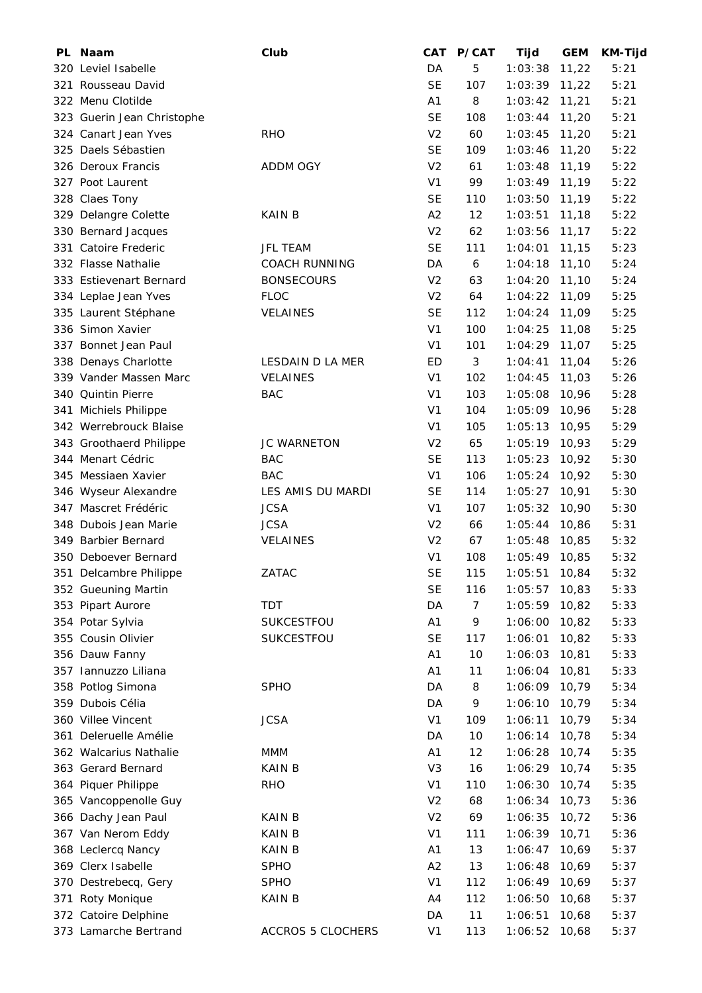| PL. | <b>Naam</b>                | Club                     | CAT            | P/CAT          | Tijd            | <b>GEM</b> | <b>KM-Tijd</b> |
|-----|----------------------------|--------------------------|----------------|----------------|-----------------|------------|----------------|
|     | 320 Leviel Isabelle        |                          | DA             | 5              | 1:03:38         | 11,22      | 5:21           |
|     | 321 Rousseau David         |                          | <b>SE</b>      | 107            | $1:03:39$ 11,22 |            | 5:21           |
|     | 322 Menu Clotilde          |                          | A <sub>1</sub> | 8              | 1:03:42         | 11,21      | 5:21           |
|     | 323 Guerin Jean Christophe |                          | <b>SE</b>      | 108            | 1:03:44         | 11,20      | 5:21           |
|     | 324 Canart Jean Yves       | <b>RHO</b>               | V <sub>2</sub> | 60             | 1:03:45         | 11,20      | 5:21           |
|     | 325 Daels Sébastien        |                          | <b>SE</b>      | 109            | 1:03:46         | 11,20      | 5:22           |
|     | 326 Deroux Francis         | ADDM OGY                 | V <sub>2</sub> | 61             | 1:03:48         | 11,19      | 5:22           |
|     | 327 Poot Laurent           |                          | V <sub>1</sub> | 99             | $1:03:49$ 11,19 |            | 5:22           |
|     | 328 Claes Tony             |                          | <b>SE</b>      | 110            | 1:03:50         | 11,19      | 5:22           |
|     | 329 Delangre Colette       | KAIN B                   | A2             | 12             | 1:03:51         | 11,18      | 5:22           |
|     | 330 Bernard Jacques        |                          | V <sub>2</sub> | 62             | 1:03:56         | 11,17      | 5:22           |
|     | 331 Catoire Frederic       | <b>JFL TEAM</b>          | <b>SE</b>      | 111            | 1:04:01         | 11,15      | 5:23           |
|     | 332 Flasse Nathalie        | <b>COACH RUNNING</b>     | DA             | 6              | 1:04:18         | 11,10      | 5:24           |
|     | 333 Estievenart Bernard    | <b>BONSECOURS</b>        | V <sub>2</sub> | 63             | 1:04:20         | 11,10      | 5:24           |
|     | 334 Leplae Jean Yves       | <b>FLOC</b>              | V <sub>2</sub> | 64             | 1:04:22         | 11,09      | 5:25           |
|     | 335 Laurent Stéphane       | <b>VELAINES</b>          | <b>SE</b>      | 112            | 1:04:24         | 11,09      | 5:25           |
|     | 336 Simon Xavier           |                          | V <sub>1</sub> | 100            | 1:04:25         | 11,08      | 5:25           |
|     | 337 Bonnet Jean Paul       |                          | V <sub>1</sub> | 101            | 1:04:29         | 11,07      | 5:25           |
|     | 338 Denays Charlotte       | LESDAIN D LA MER         | ED             | 3              | 1:04:41         | 11,04      | 5:26           |
|     | 339 Vander Massen Marc     | <b>VELAINES</b>          | V <sub>1</sub> | 102            | 1:04:45         | 11,03      | 5:26           |
|     | 340 Quintin Pierre         | <b>BAC</b>               | V <sub>1</sub> | 103            | 1:05:08         | 10,96      | 5:28           |
|     | 341 Michiels Philippe      |                          | V <sub>1</sub> | 104            | 1:05:09 10,96   |            | 5:28           |
|     | 342 Werrebrouck Blaise     |                          | V <sub>1</sub> | 105            | 1:05:13         | 10,95      | 5:29           |
|     | 343 Groothaerd Philippe    | JC WARNETON              | V <sub>2</sub> | 65             | 1:05:19         | 10,93      | 5:29           |
|     | 344 Menart Cédric          | <b>BAC</b>               | <b>SE</b>      | 113            | 1:05:23         | 10,92      | 5:30           |
|     | 345 Messiaen Xavier        | <b>BAC</b>               | V <sub>1</sub> | 106            | 1:05:24         | 10,92      | 5:30           |
|     | 346 Wyseur Alexandre       | LES AMIS DU MARDI        | <b>SE</b>      | 114            | 1:05:27         | 10,91      | 5:30           |
|     | 347 Mascret Frédéric       | <b>JCSA</b>              | V <sub>1</sub> | 107            | 1:05:32         | 10,90      | 5:30           |
|     | 348 Dubois Jean Marie      | <b>JCSA</b>              | V <sub>2</sub> | 66             | 1:05:44 10,86   |            | 5:31           |
|     | 349 Barbier Bernard        | VELAINES                 | V <sub>2</sub> | 67             | 1:05:48         | 10,85      | 5:32           |
|     | 350 Deboever Bernard       |                          | V <sub>1</sub> | 108            | 1:05:49         | 10,85      | 5:32           |
|     | 351 Delcambre Philippe     | ZATAC                    | <b>SE</b>      | 115            | 1:05:51 10,84   |            | 5:32           |
|     | 352 Gueuning Martin        |                          | <b>SE</b>      | 116            | 1:05:57         | 10,83      | 5:33           |
|     | 353 Pipart Aurore          | <b>TDT</b>               | DA             | $\overline{7}$ | 1:05:59         | 10,82      | 5:33           |
|     | 354 Potar Sylvia           | SUKCESTFOU               | A1             | 9              | 1:06:00         | 10,82      | 5:33           |
|     | 355 Cousin Olivier         | SUKCESTFOU               | <b>SE</b>      | 117            | 1:06:01         | 10,82      | 5:33           |
|     | 356 Dauw Fanny             |                          | A <sub>1</sub> | 10             | 1:06:03         | 10,81      | 5:33           |
|     | 357 Iannuzzo Liliana       |                          | A <sub>1</sub> | 11             | 1:06:04         | 10,81      | 5:33           |
|     | 358 Potlog Simona          | <b>SPHO</b>              | DA             | 8              | 1:06:09         | 10,79      | 5:34           |
|     | 359 Dubois Célia           |                          | DA             | 9              | 1:06:10         | 10,79      | 5:34           |
|     | 360 Villee Vincent         | <b>JCSA</b>              | V <sub>1</sub> | 109            | 1:06:11         | 10,79      | 5:34           |
|     | 361 Deleruelle Amélie      |                          | DA             | 10             | 1:06:14         | 10,78      | 5:34           |
|     | 362 Walcarius Nathalie     | MMM                      | A1             | 12             | 1:06:28         | 10,74      | 5:35           |
|     | 363 Gerard Bernard         | <b>KAIN B</b>            | V <sub>3</sub> | 16             | 1:06:29         | 10,74      | 5:35           |
|     | 364 Piquer Philippe        | <b>RHO</b>               | V <sub>1</sub> | 110            | 1:06:30         | 10,74      | 5:35           |
|     | 365 Vancoppenolle Guy      |                          | V <sub>2</sub> | 68             | 1:06:34         | 10,73      | 5:36           |
|     | 366 Dachy Jean Paul        | <b>KAIN B</b>            | V <sub>2</sub> | 69             | 1:06:35         | 10,72      | 5:36           |
|     | 367 Van Nerom Eddy         | <b>KAIN B</b>            | V <sub>1</sub> | 111            | 1:06:39         | 10,71      | 5:36           |
|     | 368 Leclercq Nancy         | KAIN B                   | A1             | 13             | 1:06:47         | 10,69      | 5:37           |
|     | 369 Clerx Isabelle         | <b>SPHO</b>              | A2             | 13             | 1:06:48         | 10,69      | 5:37           |
|     | 370 Destrebecq, Gery       | <b>SPHO</b>              | V <sub>1</sub> | 112            | 1:06:49         | 10,69      | 5:37           |
|     | 371 Roty Monique           | <b>KAIN B</b>            | A4             | 112            | 1:06:50         | 10,68      | 5:37           |
|     | 372 Catoire Delphine       |                          | DA             | 11             | 1:06:51         | 10,68      | 5:37           |
|     | 373 Lamarche Bertrand      | <b>ACCROS 5 CLOCHERS</b> | V <sub>1</sub> | 113            | 1:06:52         | 10,68      | 5:37           |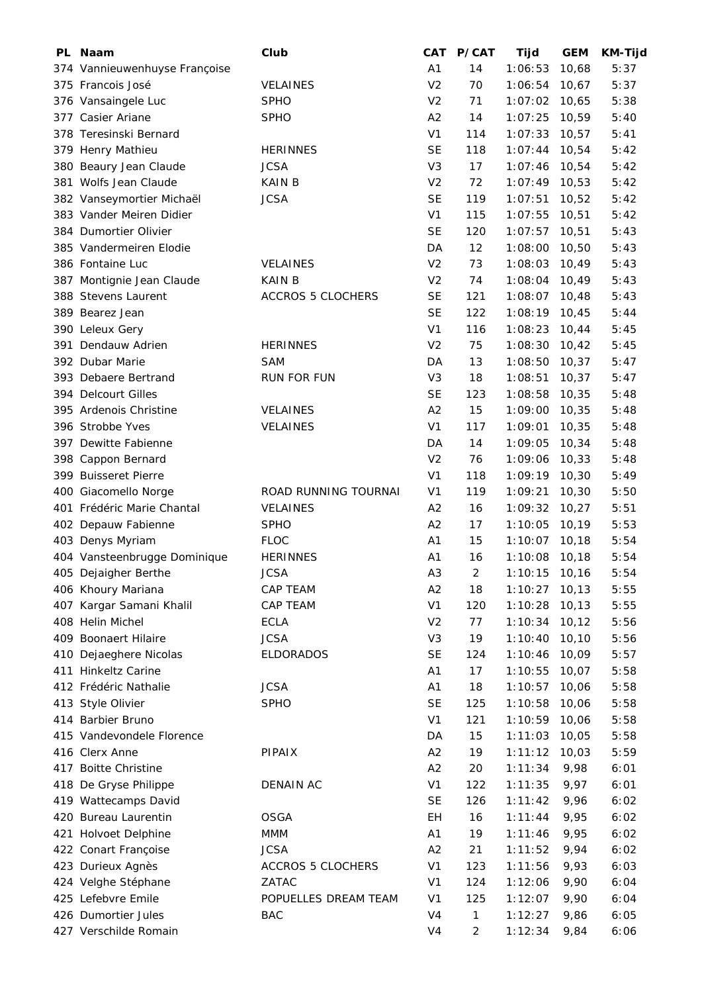| PL Naam                       | Club                               | <b>CAT</b>     | P/CAT          | Tijd               | <b>GEM</b>   | <b>KM-Tijd</b> |
|-------------------------------|------------------------------------|----------------|----------------|--------------------|--------------|----------------|
| 374 Vannieuwenhuyse Françoise |                                    | A <sub>1</sub> | 14             | 1:06:53            | 10,68        | 5:37           |
| 375 Francois José             | <b>VELAINES</b>                    | V <sub>2</sub> | 70             | 1:06:54            | 10,67        | 5:37           |
| 376 Vansaingele Luc           | <b>SPHO</b>                        | V <sub>2</sub> | 71             | 1:07:02            | 10,65        | 5:38           |
| 377 Casier Ariane             | <b>SPHO</b>                        | A2             | 14             | 1:07:25            | 10,59        | 5:40           |
| 378 Teresinski Bernard        |                                    | V <sub>1</sub> | 114            | 1:07:33            | 10,57        | 5:41           |
| 379 Henry Mathieu             | <b>HERINNES</b>                    | <b>SE</b>      | 118            | 1:07:44            | 10,54        | 5:42           |
| 380 Beaury Jean Claude        | <b>JCSA</b>                        | V <sub>3</sub> | 17             | 1:07:46            | 10,54        | 5:42           |
| 381 Wolfs Jean Claude         | <b>KAIN B</b>                      | V <sub>2</sub> | 72             | 1:07:49            | 10,53        | 5:42           |
| 382 Vanseymortier Michaël     | <b>JCSA</b>                        | <b>SE</b>      | 119            | 1:07:51            | 10,52        | 5:42           |
| 383 Vander Meiren Didier      |                                    | V <sub>1</sub> | 115            | 1:07:55            | 10,51        | 5:42           |
| 384 Dumortier Olivier         |                                    | <b>SE</b>      | 120            | 1:07:57            | 10,51        | 5:43           |
| 385 Vandermeiren Elodie       |                                    | DA             | 12             | 1:08:00            | 10,50        | 5:43           |
| 386 Fontaine Luc              | <b>VELAINES</b>                    | V <sub>2</sub> | 73             | 1:08:03            | 10,49        | 5:43           |
| 387 Montignie Jean Claude     | <b>KAIN B</b>                      | V <sub>2</sub> | 74             | 1:08:04            | 10,49        | 5:43           |
| 388 Stevens Laurent           | <b>ACCROS 5 CLOCHERS</b>           | <b>SE</b>      | 121            | 1:08:07            | 10,48        | 5:43           |
| 389 Bearez Jean               |                                    | <b>SE</b>      | 122            | 1:08:19            | 10,45        | 5:44           |
| 390 Leleux Gery               |                                    | V <sub>1</sub> | 116            | 1:08:23            | 10,44        | 5:45           |
| 391 Dendauw Adrien            | <b>HERINNES</b>                    | V <sub>2</sub> | 75             | 1:08:30            | 10,42        | 5:45           |
| 392 Dubar Marie               | <b>SAM</b>                         | DA             | 13             | 1:08:50            | 10,37        | 5:47           |
| 393 Debaere Bertrand          | <b>RUN FOR FUN</b>                 | V <sub>3</sub> | 18             | 1:08:51            | 10,37        | 5:47           |
| 394 Delcourt Gilles           |                                    | <b>SE</b>      | 123            | 1:08:58            | 10,35        | 5:48           |
| 395 Ardenois Christine        | VELAINES                           | A2             | 15             | 1:09:00            | 10,35        | 5:48           |
| 396 Strobbe Yves              | VELAINES                           | V <sub>1</sub> | 117            | 1:09:01            | 10,35        | 5:48           |
| 397 Dewitte Fabienne          |                                    | DA             | 14             | 1:09:05            | 10,34        | 5:48           |
| 398 Cappon Bernard            |                                    | V <sub>2</sub> | 76             | 1:09:06            | 10,33        | 5:48           |
| 399 Buisseret Pierre          |                                    | V <sub>1</sub> | 118            | 1:09:19            | 10,30        | 5:49           |
| 400 Giacomello Norge          | ROAD RUNNING TOURNAI               | V <sub>1</sub> | 119            | 1:09:21            | 10,30        | 5:50           |
| 401 Frédéric Marie Chantal    | <b>VELAINES</b>                    | A2             | 16             | 1:09:32            | 10,27        | 5:51           |
| 402 Depauw Fabienne           | <b>SPHO</b>                        | A2             | 17             | 1:10:05            | 10,19        | 5:53           |
| 403 Denys Myriam              | <b>FLOC</b>                        | A <sub>1</sub> | 15             | 1:10:07            | 10,18        | 5:54           |
| 404 Vansteenbrugge Dominique  | <b>HERINNES</b>                    | A <sub>1</sub> | 16             | 1:10:08            | 10,18        | 5:54           |
| 405 Dejaigher Berthe          | <b>JCSA</b>                        | A <sub>3</sub> | $\overline{2}$ | $1:10:15$ 10,16    |              | 5:54           |
| 406 Khoury Mariana            | CAP TEAM                           | A <sub>2</sub> | 18             | $1:10:27$ 10,13    |              | 5:55           |
| 407 Kargar Samani Khalil      | CAP TEAM                           | V <sub>1</sub> | 120            | 1:10:28            | 10, 13       | 5:55           |
| 408 Helin Michel              | <b>ECLA</b>                        | V <sub>2</sub> | 77             | 1:10:34            | 10, 12       | 5:56           |
| 409 Boonaert Hilaire          | <b>JCSA</b>                        | V <sub>3</sub> | 19             | 1:10:40            | 10, 10       | 5:56           |
| 410 Dejaeghere Nicolas        | <b>ELDORADOS</b>                   | <b>SE</b>      | 124            | 1:10:46            | 10,09        | 5:57           |
| 411 Hinkeltz Carine           |                                    | A1             | 17             | 1:10:55            | 10,07        | 5:58           |
| 412 Frédéric Nathalie         | <b>JCSA</b>                        | A1             | 18             | 1:10:57 10,06      |              | 5:58           |
| 413 Style Olivier             | <b>SPHO</b>                        | <b>SE</b>      | 125            | 1:10:58            | 10,06        | 5:58           |
| 414 Barbier Bruno             |                                    | V <sub>1</sub> | 121            | 1:10:59            | 10,06        | 5:58           |
| 415 Vandevondele Florence     |                                    | DA             | 15             | 1:11:03            | 10,05        | 5:58           |
| 416 Clerx Anne                | <b>PIPAIX</b>                      | A2             | 19             | 1:11:12            | 10,03        | 5:59           |
| 417 Boitte Christine          |                                    | A2             | 20             | 1:11:34            | 9,98         | 6:01           |
| 418 De Gryse Philippe         | DENAIN AC                          | V <sub>1</sub> | 122            | 1:11:35            | 9,97         | 6:01           |
| 419 Wattecamps David          |                                    | <b>SE</b>      | 126            | 1:11:42            | 9,96         | 6:02           |
| 420 Bureau Laurentin          | <b>OSGA</b>                        | EН             | 16             | 1:11:44            | 9,95         | 6:02           |
| 421 Holvoet Delphine          | MMM                                | A1             | 19             | 1:11:46            | 9,95         | 6:02           |
| 422 Conart Françoise          | <b>JCSA</b>                        | A2             | 21             |                    |              | 6:02           |
| 423 Durieux Agnès             | <b>ACCROS 5 CLOCHERS</b>           | V <sub>1</sub> | 123            | 1:11:52<br>1:11:56 | 9,94<br>9,93 | 6:03           |
| 424 Velghe Stéphane           | ZATAC                              | V <sub>1</sub> |                |                    |              |                |
| 425 Lefebvre Emile            |                                    | V <sub>1</sub> | 124<br>125     | 1:12:06            | 9,90         | 6:04           |
| 426 Dumortier Jules           | POPUELLES DREAM TEAM<br><b>BAC</b> | V <sub>4</sub> | $\mathbf{1}$   | 1:12:07<br>1:12:27 | 9,90<br>9,86 | 6:04<br>6:05   |
|                               |                                    | V <sub>4</sub> |                |                    |              |                |
| 427 Verschilde Romain         |                                    |                | 2              | 1:12:34            | 9,84         | 6:06           |